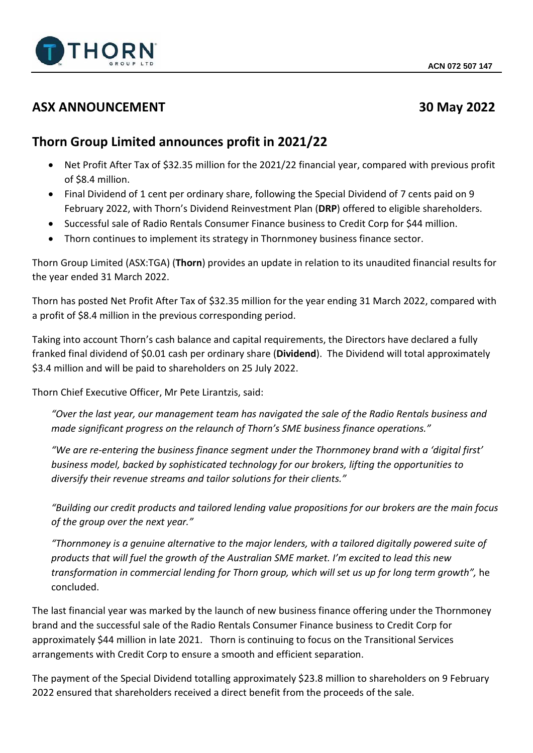

## **ASX ANNOUNCEMENT 30 May 2022**

# **Thorn Group Limited announces profit in 2021/22**

- Net Profit After Tax of \$32.35 million for the 2021/22 financial year, compared with previous profit of \$8.4 million.
- Final Dividend of 1 cent per ordinary share, following the Special Dividend of 7 cents paid on 9 February 2022, with Thorn's Dividend Reinvestment Plan (**DRP**) offered to eligible shareholders.
- Successful sale of Radio Rentals Consumer Finance business to Credit Corp for \$44 million.
- Thorn continues to implement its strategy in Thornmoney business finance sector.

Thorn Group Limited (ASX:TGA) (**Thorn**) provides an update in relation to its unaudited financial results for the year ended 31 March 2022.

Thorn has posted Net Profit After Tax of \$32.35 million for the year ending 31 March 2022, compared with a profit of \$8.4 million in the previous corresponding period.

Taking into account Thorn's cash balance and capital requirements, the Directors have declared a fully franked final dividend of \$0.01 cash per ordinary share (**Dividend**). The Dividend will total approximately \$3.4 million and will be paid to shareholders on 25 July 2022.

Thorn Chief Executive Officer, Mr Pete Lirantzis, said:

*"Over the last year, our management team has navigated the sale of the Radio Rentals business and made significant progress on the relaunch of Thorn's SME business finance operations."*

*"We are re-entering the business finance segment under the Thornmoney brand with a 'digital first' business model, backed by sophisticated technology for our brokers, lifting the opportunities to diversify their revenue streams and tailor solutions for their clients."*

*"Building our credit products and tailored lending value propositions for our brokers are the main focus of the group over the next year."*

*"Thornmoney is a genuine alternative to the major lenders, with a tailored digitally powered suite of products that will fuel the growth of the Australian SME market. I'm excited to lead this new transformation in commercial lending for Thorn group, which will set us up for long term growth",* he concluded.

The last financial year was marked by the launch of new business finance offering under the Thornmoney brand and the successful sale of the Radio Rentals Consumer Finance business to Credit Corp for approximately \$44 million in late 2021. Thorn is continuing to focus on the Transitional Services arrangements with Credit Corp to ensure a smooth and efficient separation.

The payment of the Special Dividend totalling approximately \$23.8 million to shareholders on 9 February 2022 ensured that shareholders received a direct benefit from the proceeds of the sale.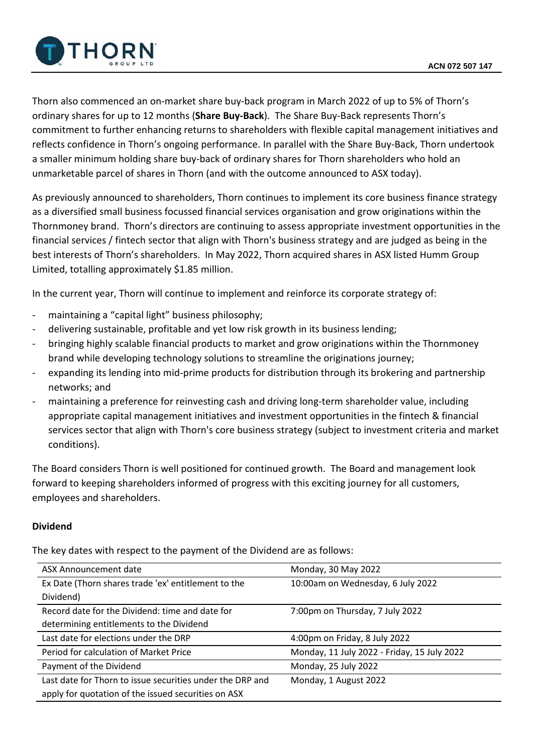

Thorn also commenced an on-market share buy-back program in March 2022 of up to 5% of Thorn's ordinary shares for up to 12 months (**Share Buy-Back**). The Share Buy-Back represents Thorn's commitment to further enhancing returns to shareholders with flexible capital management initiatives and reflects confidence in Thorn's ongoing performance. In parallel with the Share Buy-Back, Thorn undertook a smaller minimum holding share buy-back of ordinary shares for Thorn shareholders who hold an unmarketable parcel of shares in Thorn (and with the outcome announced to ASX today).

As previously announced to shareholders, Thorn continues to implement its core business finance strategy as a diversified small business focussed financial services organisation and grow originations within the Thornmoney brand. Thorn's directors are continuing to assess appropriate investment opportunities in the financial services / fintech sector that align with Thorn's business strategy and are judged as being in the best interests of Thorn's shareholders. In May 2022, Thorn acquired shares in ASX listed Humm Group Limited, totalling approximately \$1.85 million.

In the current year, Thorn will continue to implement and reinforce its corporate strategy of:

- maintaining a "capital light" business philosophy;
- delivering sustainable, profitable and yet low risk growth in its business lending;
- bringing highly scalable financial products to market and grow originations within the Thornmoney brand while developing technology solutions to streamline the originations journey;
- expanding its lending into mid-prime products for distribution through its brokering and partnership networks; and
- maintaining a preference for reinvesting cash and driving long-term shareholder value, including appropriate capital management initiatives and investment opportunities in the fintech & financial services sector that align with Thorn's core business strategy (subject to investment criteria and market conditions).

The Board considers Thorn is well positioned for continued growth. The Board and management look forward to keeping shareholders informed of progress with this exciting journey for all customers, employees and shareholders.

## **Dividend**

The key dates with respect to the payment of the Dividend are as follows:

| ASX Announcement date                                     | Monday, 30 May 2022                         |
|-----------------------------------------------------------|---------------------------------------------|
| Ex Date (Thorn shares trade 'ex' entitlement to the       | 10:00am on Wednesday, 6 July 2022           |
| Dividend)                                                 |                                             |
| Record date for the Dividend: time and date for           | 7:00pm on Thursday, 7 July 2022             |
| determining entitlements to the Dividend                  |                                             |
| Last date for elections under the DRP                     | 4:00pm on Friday, 8 July 2022               |
| Period for calculation of Market Price                    | Monday, 11 July 2022 - Friday, 15 July 2022 |
| Payment of the Dividend                                   | Monday, 25 July 2022                        |
| Last date for Thorn to issue securities under the DRP and | Monday, 1 August 2022                       |
| apply for quotation of the issued securities on ASX       |                                             |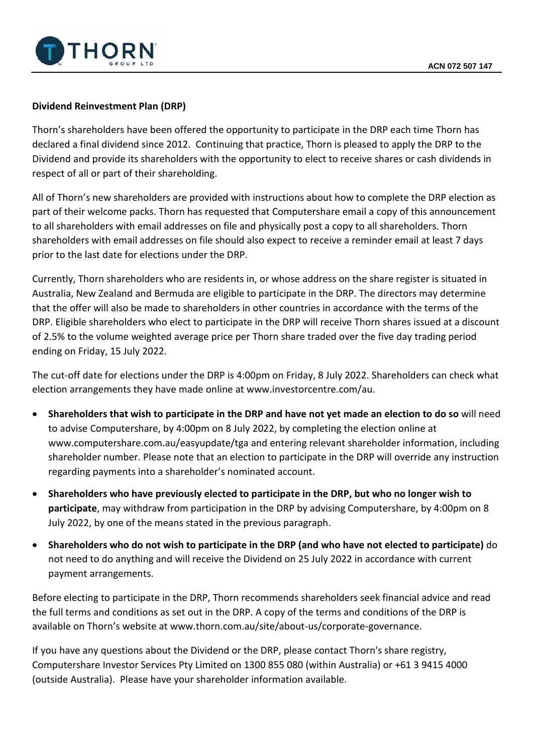

## **Dividend Reinvestment Plan (DRP)**

Thorn's shareholders have been offered the opportunity to participate in the DRP each time Thorn has declared a final dividend since 2012. Continuing that practice, Thorn is pleased to apply the DRP to the Dividend and provide its shareholders with the opportunity to elect to receive shares or cash dividends in respect of all or part of their shareholding.

All of Thorn's new shareholders are provided with instructions about how to complete the DRP election as part of their welcome packs. Thorn has requested that Computershare email a copy of this announcement to all shareholders with email addresses on file and physically post a copy to all shareholders. Thorn shareholders with email addresses on file should also expect to receive a reminder email at least 7 days prior to the last date for elections under the DRP.

Currently, Thorn shareholders who are residents in, or whose address on the share register is situated in Australia, New Zealand and Bermuda are eligible to participate in the DRP. The directors may determine that the offer will also be made to shareholders in other countries in accordance with the terms of the DRP. Eligible shareholders who elect to participate in the DRP will receive Thorn shares issued at a discount of 2.5% to the volume weighted average price per Thorn share traded over the five day trading period ending on Friday, 15 July 2022.

The cut-off date for elections under the DRP is 4:00pm on Friday, 8 July 2022. Shareholders can check what election arrangements they have made online at www.investorcentre.com/au.

- **Shareholders that wish to participate in the DRP and have not yet made an election to do so** will need to advise Computershare, by 4:00pm on 8 July 2022, by completing the election online at www.computershare.com.au/easyupdate/tga and entering relevant shareholder information, including shareholder number. Please note that an election to participate in the DRP will override any instruction regarding payments into a shareholder's nominated account.
- **Shareholders who have previously elected to participate in the DRP, but who no longer wish to participate**, may withdraw from participation in the DRP by advising Computershare, by 4:00pm on 8 July 2022, by one of the means stated in the previous paragraph.
- **Shareholders who do not wish to participate in the DRP (and who have not elected to participate)** do not need to do anything and will receive the Dividend on 25 July 2022 in accordance with current payment arrangements.

Before electing to participate in the DRP, Thorn recommends shareholders seek financial advice and read the full terms and conditions as set out in the DRP. A copy of the terms and conditions of the DRP is available on Thorn's website at www.thorn.com.au/site/about-us/corporate-governance.

If you have any questions about the Dividend or the DRP, please contact Thorn's share registry, Computershare Investor Services Pty Limited on 1300 855 080 (within Australia) or +61 3 9415 4000 (outside Australia). Please have your shareholder information available.